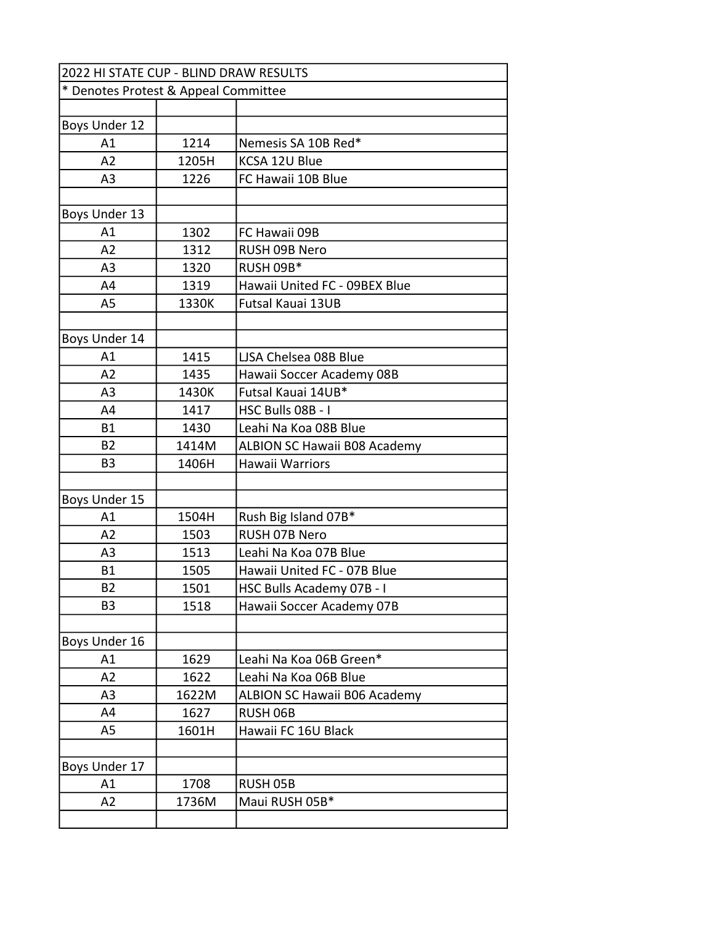| 2022 HI STATE CUP - BLIND DRAW RESULTS |       |                                     |
|----------------------------------------|-------|-------------------------------------|
| * Denotes Protest & Appeal Committee   |       |                                     |
|                                        |       |                                     |
| Boys Under 12                          |       |                                     |
| A1                                     | 1214  | Nemesis SA 10B Red*                 |
| A2                                     | 1205H | KCSA 12U Blue                       |
| A <sub>3</sub>                         | 1226  | FC Hawaii 10B Blue                  |
|                                        |       |                                     |
| Boys Under 13                          |       |                                     |
| A1                                     | 1302  | FC Hawaii 09B                       |
| A2                                     | 1312  | RUSH 09B Nero                       |
| A <sub>3</sub>                         | 1320  | <b>RUSH 09B*</b>                    |
| A4                                     | 1319  | Hawaii United FC - 09BEX Blue       |
| A <sub>5</sub>                         | 1330K | Futsal Kauai 13UB                   |
|                                        |       |                                     |
| Boys Under 14                          |       |                                     |
| A1                                     | 1415  | LJSA Chelsea 08B Blue               |
| A2                                     | 1435  | Hawaii Soccer Academy 08B           |
| A <sub>3</sub>                         | 1430K | Futsal Kauai 14UB*                  |
| A4                                     | 1417  | HSC Bulls 08B - I                   |
| <b>B1</b>                              | 1430  | Leahi Na Koa 08B Blue               |
| <b>B2</b>                              | 1414M | <b>ALBION SC Hawaii B08 Academy</b> |
| B <sub>3</sub>                         | 1406H | Hawaii Warriors                     |
|                                        |       |                                     |
| Boys Under 15                          |       |                                     |
| A1                                     | 1504H | Rush Big Island 07B*                |
| A <sub>2</sub>                         | 1503  | RUSH 07B Nero                       |
| A <sub>3</sub>                         | 1513  | Leahi Na Koa 07B Blue               |
| Β1                                     | 1505  | Hawaii United FC - 07B Blue         |
| <b>B2</b>                              | 1501  | HSC Bulls Academy 07B - I           |
| B3                                     | 1518  | Hawaii Soccer Academy 07B           |
|                                        |       |                                     |
| Boys Under 16                          |       |                                     |
| A1                                     | 1629  | Leahi Na Koa 06B Green*             |
| A2                                     | 1622  | Leahi Na Koa 06B Blue               |
| A <sub>3</sub>                         | 1622M | <b>ALBION SC Hawaii B06 Academy</b> |
| A4                                     | 1627  | RUSH 06B                            |
| A5                                     | 1601H | Hawaii FC 16U Black                 |
|                                        |       |                                     |
| Boys Under 17                          |       |                                     |
| A1                                     | 1708  | RUSH 05B                            |
| A2                                     | 1736M | Maui RUSH 05B*                      |
|                                        |       |                                     |